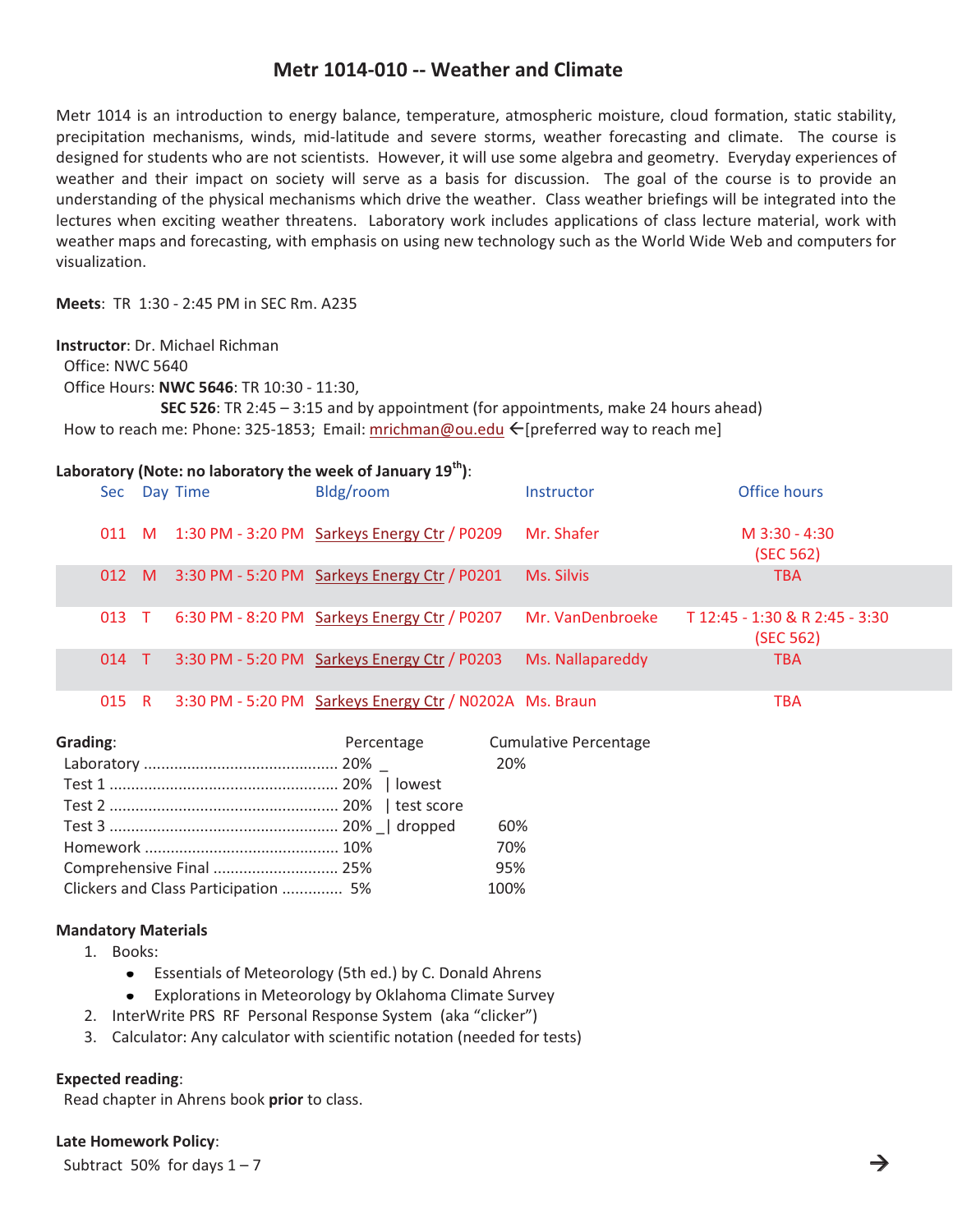# **Metr 1014-010 -- Weather and Climate**

Metr 1014 is an introduction to energy balance, temperature, atmospheric moisture, cloud formation, static stability, precipitation mechanisms, winds, mid-latitude and severe storms, weather forecasting and climate. The course is designed for students who are not scientists. However, it will use some algebra and geometry. Everyday experiences of weather and their impact on society will serve as a basis for discussion. The goal of the course is to provide an understanding of the physical mechanisms which drive the weather. Class weather briefings will be integrated into the lectures when exciting weather threatens. Laboratory work includes applications of class lecture material, work with weather maps and forecasting, with emphasis on using new technology such as the World Wide Web and computers for visualization.

**Meets**: TR 1:30 - 2:45 PM in SEC Rm. A235

### **Instructor**: Dr. Michael Richman

Office: NWC 5640

Office Hours: **NWC 5646**: TR 10:30 - 11:30,

 **SEC 526**: TR 2:45 – 3:15 and by appointment (for appointments, make 24 hours ahead) How to reach me: Phone: 325-1853; Email: mrichman@ou.edu < [preferred way to reach me]

## **Laboratory (Note: no laboratory the week of January 19th)**:

| Sec - |     | Day Time | Bldg/room                                               | Instructor       | Office hours                                |
|-------|-----|----------|---------------------------------------------------------|------------------|---------------------------------------------|
|       |     |          | 011 M 1:30 PM - 3:20 PM Sarkeys Energy Ctr / P0209      | Mr. Shafer       | M $3:30 - 4:30$<br>(SEC 562)                |
| 012 M |     |          | 3:30 PM - 5:20 PM Sarkeys Energy Ctr / P0201            | Ms. Silvis       | <b>TBA</b>                                  |
| 013 T |     |          | 6:30 PM - 8:20 PM Sarkeys Energy Ctr / P0207            | Mr. VanDenbroeke | T 12:45 - 1:30 & R 2:45 - 3:30<br>(SEC 562) |
| 014 T |     |          | 3:30 PM - 5:20 PM Sarkeys Energy Ctr / P0203            | Ms. Nallapareddy | <b>TBA</b>                                  |
| 015   | - R |          | 3:30 PM - 5:20 PM Sarkeys Energy Ctr / N0202A Ms. Braun |                  | <b>TBA</b>                                  |

| Grading:                             | Percentage | <b>Cumulative Percentage</b> |
|--------------------------------------|------------|------------------------------|
|                                      |            | 20%                          |
|                                      |            |                              |
|                                      |            |                              |
|                                      |            | 60%                          |
|                                      |            | 70%                          |
| Comprehensive Final  25%             |            | 95%                          |
| Clickers and Class Participation  5% |            | 100%                         |

### **Mandatory Materials**

- 1. Books:
	- Essentials of Meteorology (5th ed.) by C. Donald Ahrens  $\bullet$
	- $\bullet$ Explorations in Meteorology by Oklahoma Climate Survey
- 2. InterWrite PRS RF Personal Response System (aka "clicker")
- 3. Calculator: Any calculator with scientific notation (needed for tests)

### **Expected reading**:

Read chapter in Ahrens book **prior** to class.

### **Late Homework Policy**:

Subtract 50% for days  $1 - 7$